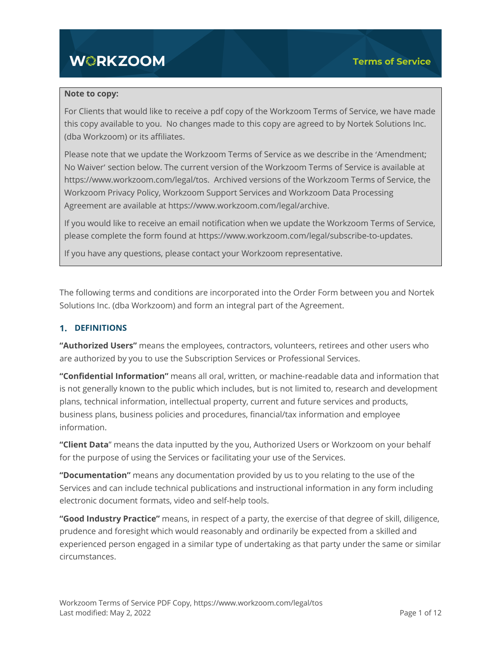# **WORKZOOM**

#### **Note to copy:**

For Clients that would like to receive a pdf copy of the Workzoom Terms of Service, we have made this copy available to you. No changes made to this copy are agreed to by Nortek Solutions Inc. (dba Workzoom) or its affiliates.

Please note that we update the Workzoom Terms of Service as we describe in the 'Amendment; No Waiver' section below. The current version of the Workzoom Terms of Service is available at https://www.workzoom.com/legal/tos. Archived versions of the Workzoom Terms of Service, the Workzoom Privacy Policy, Workzoom Support Services and Workzoom Data Processing Agreement are available at https://www.workzoom.com/legal/archive.

If you would like to receive an email notification when we update the Workzoom Terms of Service, please complete the form found at https://www.workzoom.com/legal/subscribe-to-updates.

If you have any questions, please contact your Workzoom representative.

The following terms and conditions are incorporated into the Order Form between you and Nortek Solutions Inc. (dba Workzoom) and form an integral part of the Agreement.

#### **1. DEFINITIONS**

**"Authorized Users"** means the employees, contractors, volunteers, retirees and other users who are authorized by you to use the Subscription Services or Professional Services.

**"Confidential Information"** means all oral, written, or machine-readable data and information that is not generally known to the public which includes, but is not limited to, research and development plans, technical information, intellectual property, current and future services and products, business plans, business policies and procedures, financial/tax information and employee information.

**"Client Data**" means the data inputted by the you, Authorized Users or Workzoom on your behalf for the purpose of using the Services or facilitating your use of the Services.

**"Documentation"** means any documentation provided by us to you relating to the use of the Services and can include technical publications and instructional information in any form including electronic document formats, video and self-help tools.

**"Good Industry Practice"** means, in respect of a party, the exercise of that degree of skill, diligence, prudence and foresight which would reasonably and ordinarily be expected from a skilled and experienced person engaged in a similar type of undertaking as that party under the same or similar circumstances.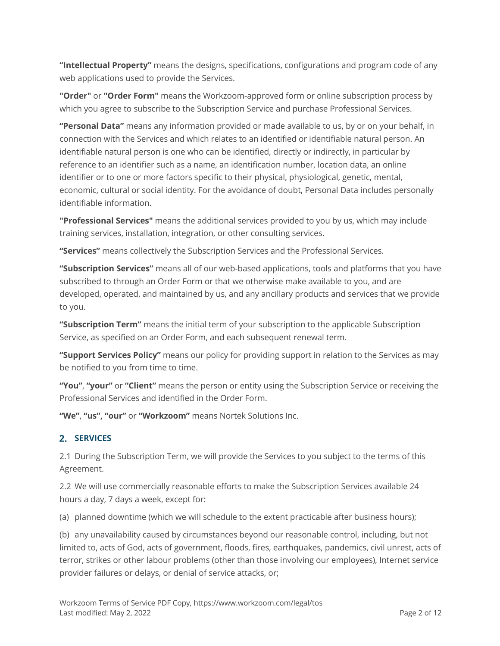**"Intellectual Property"** means the designs, specifications, configurations and program code of any web applications used to provide the Services.

**"Order"** or **"Order Form"** means the Workzoom-approved form or online subscription process by which you agree to subscribe to the Subscription Service and purchase Professional Services.

**"Personal Data"** means any information provided or made available to us, by or on your behalf, in connection with the Services and which relates to an identified or identifiable natural person. An identifiable natural person is one who can be identified, directly or indirectly, in particular by reference to an identifier such as a name, an identification number, location data, an online identifier or to one or more factors specific to their physical, physiological, genetic, mental, economic, cultural or social identity. For the avoidance of doubt, Personal Data includes personally identifiable information.

**"Professional Services"** means the additional services provided to you by us, which may include training services, installation, integration, or other consulting services.

**"Services"** means collectively the Subscription Services and the Professional Services.

**"Subscription Services"** means all of our web-based applications, tools and platforms that you have subscribed to through an Order Form or that we otherwise make available to you, and are developed, operated, and maintained by us, and any ancillary products and services that we provide to you.

**"Subscription Term"** means the initial term of your subscription to the applicable Subscription Service, as specified on an Order Form, and each subsequent renewal term.

**"Support Services Policy"** means our policy for providing support in relation to the Services as may be notified to you from time to time.

**"You"**, **"your"** or **"Client"** means the person or entity using the Subscription Service or receiving the Professional Services and identified in the Order Form.

**"We"**, **"us", "our"** or **"Workzoom"** means Nortek Solutions Inc.

## **SERVICES**

2.1 During the Subscription Term, we will provide the Services to you subject to the terms of this Agreement.

2.2 We will use commercially reasonable efforts to make the Subscription Services available 24 hours a day, 7 days a week, except for:

(a) planned downtime (which we will schedule to the extent practicable after business hours);

(b) any unavailability caused by circumstances beyond our reasonable control, including, but not limited to, acts of God, acts of government, floods, fires, earthquakes, pandemics, civil unrest, acts of terror, strikes or other labour problems (other than those involving our employees), Internet service provider failures or delays, or denial of service attacks, or;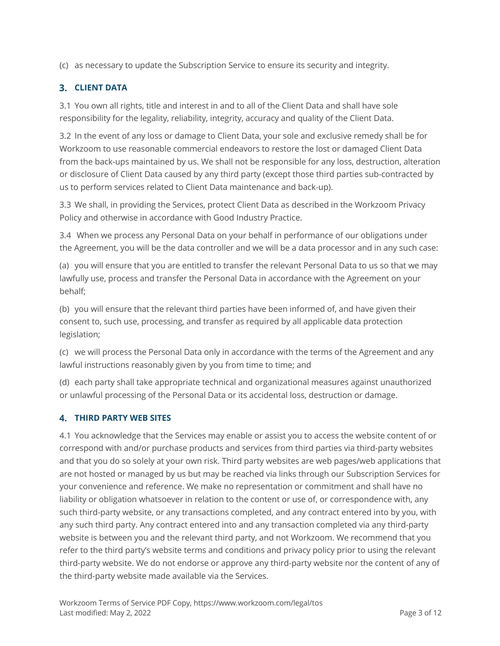(c) as necessary to update the Subscription Service to ensure its security and integrity.

## **CLIENT DATA**

3.1 You own all rights, title and interest in and to all of the Client Data and shall have sole responsibility for the legality, reliability, integrity, accuracy and quality of the Client Data.

3.2 In the event of any loss or damage to Client Data, your sole and exclusive remedy shall be for Workzoom to use reasonable commercial endeavors to restore the lost or damaged Client Data from the back-ups maintained by us. We shall not be responsible for any loss, destruction, alteration or disclosure of Client Data caused by any third party (except those third parties sub-contracted by us to perform services related to Client Data maintenance and back-up).

3.3 We shall, in providing the Services, protect Client Data as described in the Workzoom Privacy Policy and otherwise in accordance with Good Industry Practice.

3.4 When we process any Personal Data on your behalf in performance of our obligations under the Agreement, you will be the data controller and we will be a data processor and in any such case:

(a) you will ensure that you are entitled to transfer the relevant Personal Data to us so that we may lawfully use, process and transfer the Personal Data in accordance with the Agreement on your behalf;

(b) you will ensure that the relevant third parties have been informed of, and have given their consent to, such use, processing, and transfer as required by all applicable data protection legislation;

(c) we will process the Personal Data only in accordance with the terms of the Agreement and any lawful instructions reasonably given by you from time to time; and

(d) each party shall take appropriate technical and organizational measures against unauthorized or unlawful processing of the Personal Data or its accidental loss, destruction or damage.

## **THIRD PARTY WEB SITES**

4.1 You acknowledge that the Services may enable or assist you to access the website content of or correspond with and/or purchase products and services from third parties via third-party websites and that you do so solely at your own risk. Third party websites are web pages/web applications that are not hosted or managed by us but may be reached via links through our Subscription Services for your convenience and reference. We make no representation or commitment and shall have no liability or obligation whatsoever in relation to the content or use of, or correspondence with, any such third-party website, or any transactions completed, and any contract entered into by you, with any such third party. Any contract entered into and any transaction completed via any third-party website is between you and the relevant third party, and not Workzoom. We recommend that you refer to the third party's website terms and conditions and privacy policy prior to using the relevant third-party website. We do not endorse or approve any third-party website nor the content of any of the third-party website made available via the Services.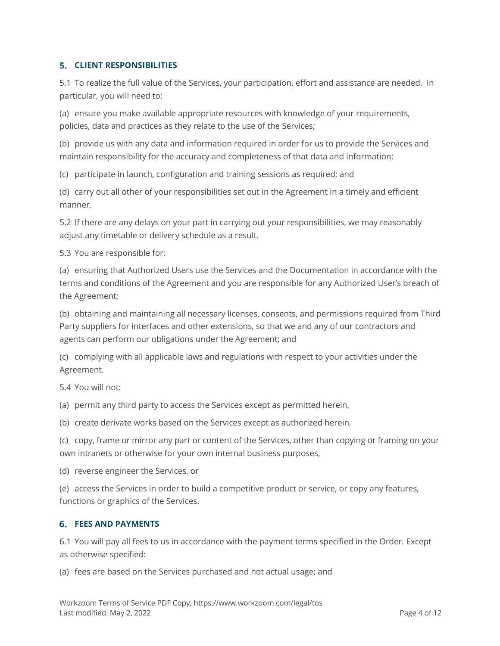#### **CLIENT RESPONSIBILITIES**

5.1 To realize the full value of the Services, your participation, effort and assistance are needed. In particular, you will need to:

(a) ensure you make available appropriate resources with knowledge of your requirements, policies, data and practices as they relate to the use of the Services;

(b) provide us with any data and information required in order for us to provide the Services and maintain responsibility for the accuracy and completeness of that data and information;

(c) participate in launch, configuration and training sessions as required; and

(d) carry out all other of your responsibilities set out in the Agreement in a timely and efficient manner.

5.2 If there are any delays on your part in carrying out your responsibilities, we may reasonably adjust any timetable or delivery schedule as a result.

5.3 You are responsible for:

(a) ensuring that Authorized Users use the Services and the Documentation in accordance with the terms and conditions of the Agreement and you are responsible for any Authorized User's breach of the Agreement;

(b) obtaining and maintaining all necessary licenses, consents, and permissions required from Third Party suppliers for interfaces and other extensions, so that we and any of our contractors and agents can perform our obligations under the Agreement; and

(c) complying with all applicable laws and regulations with respect to your activities under the Agreement.

5.4 You will not:

(a) permit any third party to access the Services except as permitted herein,

(b) create derivate works based on the Services except as authorized herein,

(c) copy, frame or mirror any part or content of the Services, other than copying or framing on your own intranets or otherwise for your own internal business purposes,

(d) reverse engineer the Services, or

(e) access the Services in order to build a competitive product or service, or copy any features, functions or graphics of the Services.

#### **FEES AND PAYMENTS**

6.1 You will pay all fees to us in accordance with the payment terms specified in the Order. Except as otherwise specified:

(a) fees are based on the Services purchased and not actual usage; and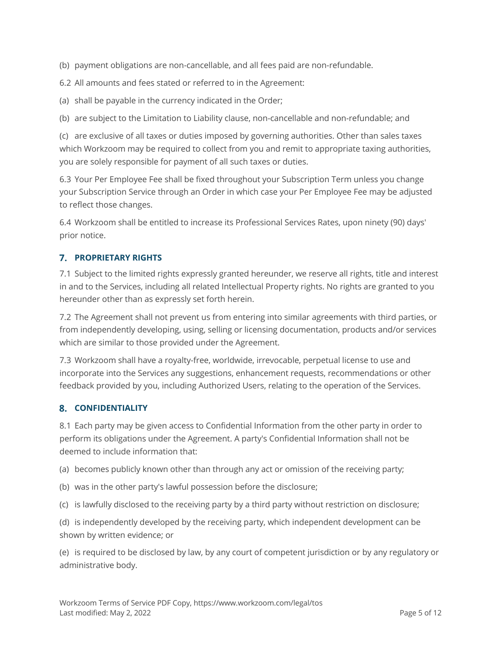(b) payment obligations are non-cancellable, and all fees paid are non-refundable.

6.2 All amounts and fees stated or referred to in the Agreement:

(a) shall be payable in the currency indicated in the Order;

(b) are subject to the Limitation to Liability clause, non-cancellable and non-refundable; and

(c) are exclusive of all taxes or duties imposed by governing authorities. Other than sales taxes which Workzoom may be required to collect from you and remit to appropriate taxing authorities, you are solely responsible for payment of all such taxes or duties.

6.3 Your Per Employee Fee shall be fixed throughout your Subscription Term unless you change your Subscription Service through an Order in which case your Per Employee Fee may be adjusted to reflect those changes.

6.4 Workzoom shall be entitled to increase its Professional Services Rates, upon ninety (90) days' prior notice.

## **PROPRIETARY RIGHTS**

7.1 Subject to the limited rights expressly granted hereunder, we reserve all rights, title and interest in and to the Services, including all related Intellectual Property rights. No rights are granted to you hereunder other than as expressly set forth herein.

7.2 The Agreement shall not prevent us from entering into similar agreements with third parties, or from independently developing, using, selling or licensing documentation, products and/or services which are similar to those provided under the Agreement.

7.3 Workzoom shall have a royalty-free, worldwide, irrevocable, perpetual license to use and incorporate into the Services any suggestions, enhancement requests, recommendations or other feedback provided by you, including Authorized Users, relating to the operation of the Services.

## **CONFIDENTIALITY**

8.1 Each party may be given access to Confidential Information from the other party in order to perform its obligations under the Agreement. A party's Confidential Information shall not be deemed to include information that:

(a) becomes publicly known other than through any act or omission of the receiving party;

- (b) was in the other party's lawful possession before the disclosure;
- (c) is lawfully disclosed to the receiving party by a third party without restriction on disclosure;

(d) is independently developed by the receiving party, which independent development can be shown by written evidence; or

(e) is required to be disclosed by law, by any court of competent jurisdiction or by any regulatory or administrative body.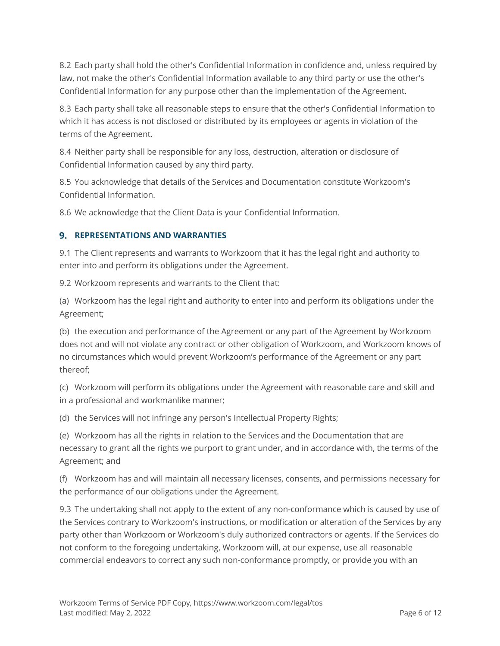8.2 Each party shall hold the other's Confidential Information in confidence and, unless required by law, not make the other's Confidential Information available to any third party or use the other's Confidential Information for any purpose other than the implementation of the Agreement.

8.3 Each party shall take all reasonable steps to ensure that the other's Confidential Information to which it has access is not disclosed or distributed by its employees or agents in violation of the terms of the Agreement.

8.4 Neither party shall be responsible for any loss, destruction, alteration or disclosure of Confidential Information caused by any third party.

8.5 You acknowledge that details of the Services and Documentation constitute Workzoom's Confidential Information.

8.6 We acknowledge that the Client Data is your Confidential Information.

#### **REPRESENTATIONS AND WARRANTIES**

9.1 The Client represents and warrants to Workzoom that it has the legal right and authority to enter into and perform its obligations under the Agreement.

9.2 Workzoom represents and warrants to the Client that:

(a) Workzoom has the legal right and authority to enter into and perform its obligations under the Agreement;

(b) the execution and performance of the Agreement or any part of the Agreement by Workzoom does not and will not violate any contract or other obligation of Workzoom, and Workzoom knows of no circumstances which would prevent Workzoom's performance of the Agreement or any part thereof;

(c) Workzoom will perform its obligations under the Agreement with reasonable care and skill and in a professional and workmanlike manner;

(d) the Services will not infringe any person's Intellectual Property Rights;

(e) Workzoom has all the rights in relation to the Services and the Documentation that are necessary to grant all the rights we purport to grant under, and in accordance with, the terms of the Agreement; and

(f) Workzoom has and will maintain all necessary licenses, consents, and permissions necessary for the performance of our obligations under the Agreement.

9.3 The undertaking shall not apply to the extent of any non-conformance which is caused by use of the Services contrary to Workzoom's instructions, or modification or alteration of the Services by any party other than Workzoom or Workzoom's duly authorized contractors or agents. If the Services do not conform to the foregoing undertaking, Workzoom will, at our expense, use all reasonable commercial endeavors to correct any such non-conformance promptly, or provide you with an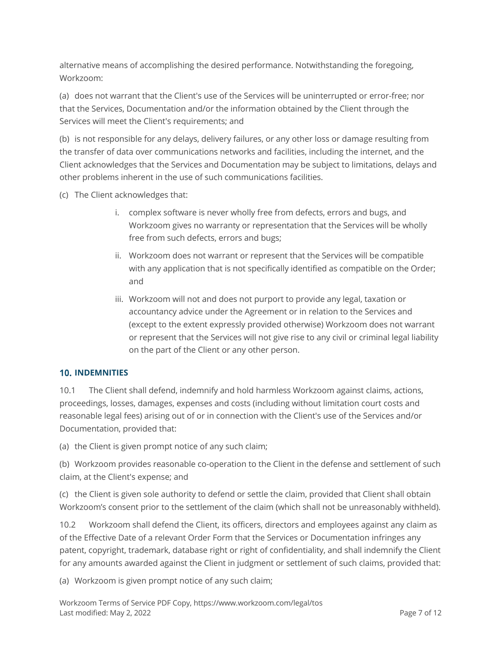alternative means of accomplishing the desired performance. Notwithstanding the foregoing, Workzoom:

(a) does not warrant that the Client's use of the Services will be uninterrupted or error-free; nor that the Services, Documentation and/or the information obtained by the Client through the Services will meet the Client's requirements; and

(b) is not responsible for any delays, delivery failures, or any other loss or damage resulting from the transfer of data over communications networks and facilities, including the internet, and the Client acknowledges that the Services and Documentation may be subject to limitations, delays and other problems inherent in the use of such communications facilities.

(c) The Client acknowledges that:

- i. complex software is never wholly free from defects, errors and bugs, and Workzoom gives no warranty or representation that the Services will be wholly free from such defects, errors and bugs;
- ii. Workzoom does not warrant or represent that the Services will be compatible with any application that is not specifically identified as compatible on the Order; and
- iii. Workzoom will not and does not purport to provide any legal, taxation or accountancy advice under the Agreement or in relation to the Services and (except to the extent expressly provided otherwise) Workzoom does not warrant or represent that the Services will not give rise to any civil or criminal legal liability on the part of the Client or any other person.

## **10. INDEMNITIES**

10.1 The Client shall defend, indemnify and hold harmless Workzoom against claims, actions, proceedings, losses, damages, expenses and costs (including without limitation court costs and reasonable legal fees) arising out of or in connection with the Client's use of the Services and/or Documentation, provided that:

(a) the Client is given prompt notice of any such claim;

(b) Workzoom provides reasonable co-operation to the Client in the defense and settlement of such claim, at the Client's expense; and

(c) the Client is given sole authority to defend or settle the claim, provided that Client shall obtain Workzoom's consent prior to the settlement of the claim (which shall not be unreasonably withheld).

10.2 Workzoom shall defend the Client, its officers, directors and employees against any claim as of the Effective Date of a relevant Order Form that the Services or Documentation infringes any patent, copyright, trademark, database right or right of confidentiality, and shall indemnify the Client for any amounts awarded against the Client in judgment or settlement of such claims, provided that:

(a) Workzoom is given prompt notice of any such claim;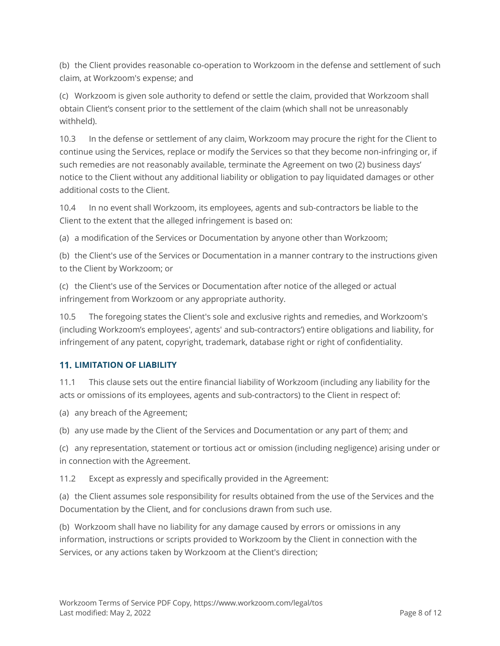(b) the Client provides reasonable co-operation to Workzoom in the defense and settlement of such claim, at Workzoom's expense; and

(c) Workzoom is given sole authority to defend or settle the claim, provided that Workzoom shall obtain Client's consent prior to the settlement of the claim (which shall not be unreasonably withheld).

10.3 In the defense or settlement of any claim, Workzoom may procure the right for the Client to continue using the Services, replace or modify the Services so that they become non-infringing or, if such remedies are not reasonably available, terminate the Agreement on two (2) business days' notice to the Client without any additional liability or obligation to pay liquidated damages or other additional costs to the Client.

10.4 In no event shall Workzoom, its employees, agents and sub-contractors be liable to the Client to the extent that the alleged infringement is based on:

(a) a modification of the Services or Documentation by anyone other than Workzoom;

(b) the Client's use of the Services or Documentation in a manner contrary to the instructions given to the Client by Workzoom; or

(c) the Client's use of the Services or Documentation after notice of the alleged or actual infringement from Workzoom or any appropriate authority.

10.5 The foregoing states the Client's sole and exclusive rights and remedies, and Workzoom's (including Workzoom's employees', agents' and sub-contractors') entire obligations and liability, for infringement of any patent, copyright, trademark, database right or right of confidentiality.

## **LIMITATION OF LIABILITY**

11.1 This clause sets out the entire financial liability of Workzoom (including any liability for the acts or omissions of its employees, agents and sub-contractors) to the Client in respect of:

(a) any breach of the Agreement;

(b) any use made by the Client of the Services and Documentation or any part of them; and

(c) any representation, statement or tortious act or omission (including negligence) arising under or in connection with the Agreement.

11.2 Except as expressly and specifically provided in the Agreement:

(a) the Client assumes sole responsibility for results obtained from the use of the Services and the Documentation by the Client, and for conclusions drawn from such use.

(b) Workzoom shall have no liability for any damage caused by errors or omissions in any information, instructions or scripts provided to Workzoom by the Client in connection with the Services, or any actions taken by Workzoom at the Client's direction;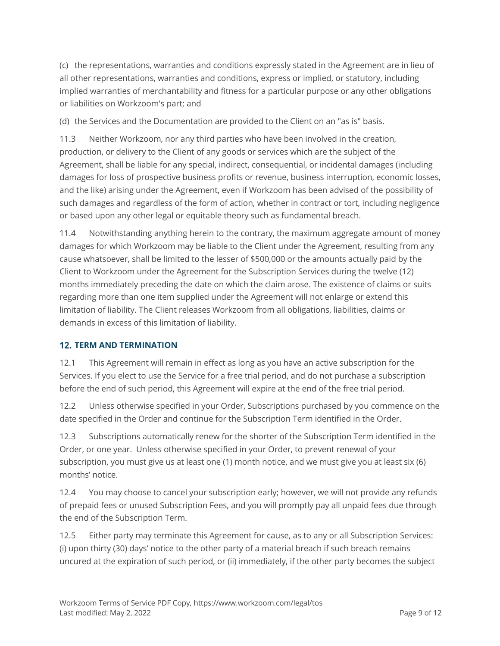(c) the representations, warranties and conditions expressly stated in the Agreement are in lieu of all other representations, warranties and conditions, express or implied, or statutory, including implied warranties of merchantability and fitness for a particular purpose or any other obligations or liabilities on Workzoom's part; and

(d) the Services and the Documentation are provided to the Client on an "as is" basis.

11.3 Neither Workzoom, nor any third parties who have been involved in the creation, production, or delivery to the Client of any goods or services which are the subject of the Agreement, shall be liable for any special, indirect, consequential, or incidental damages (including damages for loss of prospective business profits or revenue, business interruption, economic losses, and the like) arising under the Agreement, even if Workzoom has been advised of the possibility of such damages and regardless of the form of action, whether in contract or tort, including negligence or based upon any other legal or equitable theory such as fundamental breach.

11.4 Notwithstanding anything herein to the contrary, the maximum aggregate amount of money damages for which Workzoom may be liable to the Client under the Agreement, resulting from any cause whatsoever, shall be limited to the lesser of \$500,000 or the amounts actually paid by the Client to Workzoom under the Agreement for the Subscription Services during the twelve (12) months immediately preceding the date on which the claim arose. The existence of claims or suits regarding more than one item supplied under the Agreement will not enlarge or extend this limitation of liability. The Client releases Workzoom from all obligations, liabilities, claims or demands in excess of this limitation of liability.

## **TERM AND TERMINATION**

12.1 This Agreement will remain in effect as long as you have an active subscription for the Services. If you elect to use the Service for a free trial period, and do not purchase a subscription before the end of such period, this Agreement will expire at the end of the free trial period.

12.2 Unless otherwise specified in your Order, Subscriptions purchased by you commence on the date specified in the Order and continue for the Subscription Term identified in the Order.

12.3 Subscriptions automatically renew for the shorter of the Subscription Term identified in the Order, or one year. Unless otherwise specified in your Order, to prevent renewal of your subscription, you must give us at least one (1) month notice, and we must give you at least six (6) months' notice.

12.4 You may choose to cancel your subscription early; however, we will not provide any refunds of prepaid fees or unused Subscription Fees, and you will promptly pay all unpaid fees due through the end of the Subscription Term.

12.5 Either party may terminate this Agreement for cause, as to any or all Subscription Services: (i) upon thirty (30) days' notice to the other party of a material breach if such breach remains uncured at the expiration of such period, or (ii) immediately, if the other party becomes the subject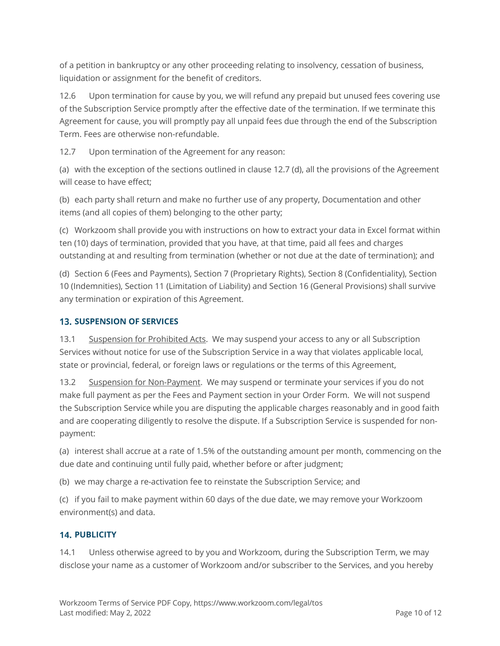of a petition in bankruptcy or any other proceeding relating to insolvency, cessation of business, liquidation or assignment for the benefit of creditors.

12.6 Upon termination for cause by you, we will refund any prepaid but unused fees covering use of the Subscription Service promptly after the effective date of the termination. If we terminate this Agreement for cause, you will promptly pay all unpaid fees due through the end of the Subscription Term. Fees are otherwise non-refundable.

12.7 Upon termination of the Agreement for any reason:

(a) with the exception of the sections outlined in clause 12.7 (d), all the provisions of the Agreement will cease to have effect;

(b) each party shall return and make no further use of any property, Documentation and other items (and all copies of them) belonging to the other party;

(c) Workzoom shall provide you with instructions on how to extract your data in Excel format within ten (10) days of termination, provided that you have, at that time, paid all fees and charges outstanding at and resulting from termination (whether or not due at the date of termination); and

(d) Section 6 (Fees and Payments), Section 7 (Proprietary Rights), Section 8 (Confidentiality), Section 10 (Indemnities), Section 11 (Limitation of Liability) and Section 16 (General Provisions) shall survive any termination or expiration of this Agreement.

## **13. SUSPENSION OF SERVICES**

13.1 Suspension for Prohibited Acts. We may suspend your access to any or all Subscription Services without notice for use of the Subscription Service in a way that violates applicable local, state or provincial, federal, or foreign laws or regulations or the terms of this Agreement,

13.2 Suspension for Non-Payment. We may suspend or terminate your services if you do not make full payment as per the Fees and Payment section in your Order Form. We will not suspend the Subscription Service while you are disputing the applicable charges reasonably and in good faith and are cooperating diligently to resolve the dispute. If a Subscription Service is suspended for nonpayment:

(a) interest shall accrue at a rate of 1.5% of the outstanding amount per month, commencing on the due date and continuing until fully paid, whether before or after judgment;

(b) we may charge a re-activation fee to reinstate the Subscription Service; and

(c) if you fail to make payment within 60 days of the due date, we may remove your Workzoom environment(s) and data.

## **14. PUBLICITY**

14.1 Unless otherwise agreed to by you and Workzoom, during the Subscription Term, we may disclose your name as a customer of Workzoom and/or subscriber to the Services, and you hereby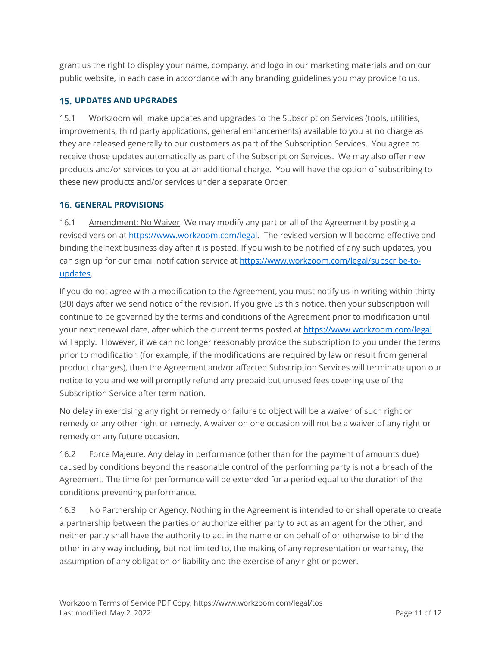grant us the right to display your name, company, and logo in our marketing materials and on our public website, in each case in accordance with any branding guidelines you may provide to us.

#### **UPDATES AND UPGRADES**

15.1 Workzoom will make updates and upgrades to the Subscription Services (tools, utilities, improvements, third party applications, general enhancements) available to you at no charge as they are released generally to our customers as part of the Subscription Services. You agree to receive those updates automatically as part of the Subscription Services. We may also offer new products and/or services to you at an additional charge. You will have the option of subscribing to these new products and/or services under a separate Order.

#### **GENERAL PROVISIONS**

16.1 Amendment; No Waiver. We may modify any part or all of the Agreement by posting a revised version at https://www.workzoom.com/legal. The revised version will become effective and binding the next business day after it is posted. If you wish to be notified of any such updates, you can sign up for our email notification service at https://www.workzoom.com/legal/subscribe-toupdates.

If you do not agree with a modification to the Agreement, you must notify us in writing within thirty (30) days after we send notice of the revision. If you give us this notice, then your subscription will continue to be governed by the terms and conditions of the Agreement prior to modification until your next renewal date, after which the current terms posted at https://www.workzoom.com/legal will apply. However, if we can no longer reasonably provide the subscription to you under the terms prior to modification (for example, if the modifications are required by law or result from general product changes), then the Agreement and/or affected Subscription Services will terminate upon our notice to you and we will promptly refund any prepaid but unused fees covering use of the Subscription Service after termination.

No delay in exercising any right or remedy or failure to object will be a waiver of such right or remedy or any other right or remedy. A waiver on one occasion will not be a waiver of any right or remedy on any future occasion.

16.2 Force Majeure. Any delay in performance (other than for the payment of amounts due) caused by conditions beyond the reasonable control of the performing party is not a breach of the Agreement. The time for performance will be extended for a period equal to the duration of the conditions preventing performance.

16.3 No Partnership or Agency. Nothing in the Agreement is intended to or shall operate to create a partnership between the parties or authorize either party to act as an agent for the other, and neither party shall have the authority to act in the name or on behalf of or otherwise to bind the other in any way including, but not limited to, the making of any representation or warranty, the assumption of any obligation or liability and the exercise of any right or power.